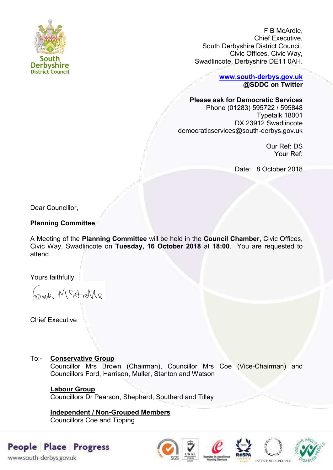

F B McArdle, Chief Executive, South Derbyshire District Council, Civic Offices, Civic Way, Swadlincote, Derbyshire DE11 0AH.

> **[www.south-derbys.gov.uk](http://www.south-derbys.gov.uk/) @SDDC on Twitter**

#### **Please ask for Democratic Services**

Phone (01283) 595722 / 595848 Typetalk 18001 DX 23912 Swadlincote democraticservices@south-derbys.gov.uk

> Our Ref: DS Your Ref:

Date: 8 October 2018

Dear Councillor,

## **Planning Committee**

A Meeting of the **Planning Committee** will be held in the **Council Chamber**, Civic Offices, Civic Way, Swadlincote on **Tuesday, 16 October 2018** at **18:00**. You are requested to attend.

Yours faithfully,

brisk McAndre

Chief Executive

## To:- **Conservative Group**

Councillor Mrs Brown (Chairman), Councillor Mrs Coe (Vice-Chairman) and Councillors Ford, Harrison, Muller, Stanton and Watson

# **Labour Group**

Councillors Dr Pearson, Shepherd, Southerd and Tilley

# **Independent / Non-Grouped Members**

Councillors Coe and Tipping

# People Place Progress

www.south-derbys.gov.uk







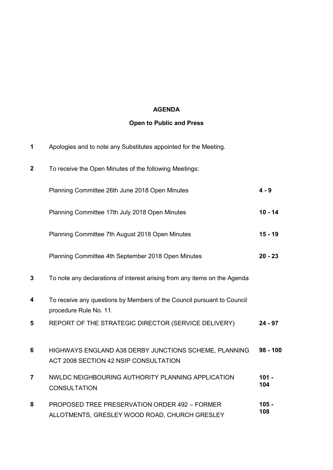# **AGENDA**

# **Open to Public and Press**

| 1                       | Apologies and to note any Substitutes appointed for the Meeting.                                 |                |
|-------------------------|--------------------------------------------------------------------------------------------------|----------------|
| $\boldsymbol{2}$        | To receive the Open Minutes of the following Meetings:                                           |                |
|                         | Planning Committee 26th June 2018 Open Minutes                                                   | $4 - 9$        |
|                         | Planning Committee 17th July 2018 Open Minutes                                                   | $10 - 14$      |
|                         | Planning Committee 7th August 2018 Open Minutes                                                  | $15 - 19$      |
|                         | Planning Committee 4th September 2018 Open Minutes                                               | $20 - 23$      |
| $\mathbf{3}$            | To note any declarations of interest arising from any items on the Agenda                        |                |
| 4                       | To receive any questions by Members of the Council pursuant to Council<br>procedure Rule No. 11. |                |
| 5                       | REPORT OF THE STRATEGIC DIRECTOR (SERVICE DELIVERY)                                              | $24 - 97$      |
| 6                       | HIGHWAYS ENGLAND A38 DERBY JUNCTIONS SCHEME, PLANNING<br>ACT 2008 SECTION 42 NSIP CONSULTATION   | $98 - 100$     |
| $\overline{\mathbf{r}}$ | NWLDC NEIGHBOURING AUTHORITY PLANNING APPLICATION<br><b>CONSULTATION</b>                         | $101 -$<br>104 |
| 8                       | PROPOSED TREE PRESERVATION ORDER 492 - FORMER<br>ALLOTMENTS, GRESLEY WOOD ROAD, CHURCH GRESLEY   | $105 -$<br>108 |